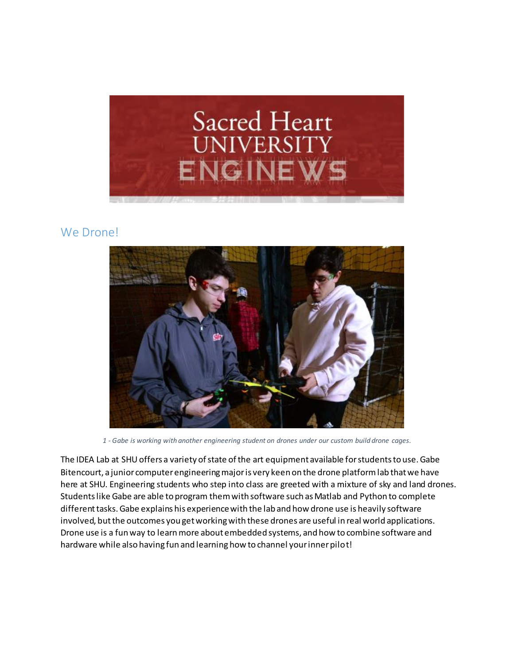

#### We Drone!



*1 - Gabe is working with another engineering student on drones under our custom build drone cages.*

The IDEA Lab at SHU offers a variety of state of the art equipment available for students to use. Gabe Bitencourt, a junior computer engineering major is very keen on the drone platform lab that we have here at SHU. Engineering students who step into class are greeted with a mixture of sky and land drones. Students like Gabe are able to program them with software such as Matlab and Python to complete different tasks. Gabe explains his experience with the lab and how drone use is heavily software involved, but the outcomes you get working with these drones are useful in real world applications. Drone use is a fun way to learn more about embedded systems, and how to combine software and hardware while also having fun and learning how to channel your inner pilot!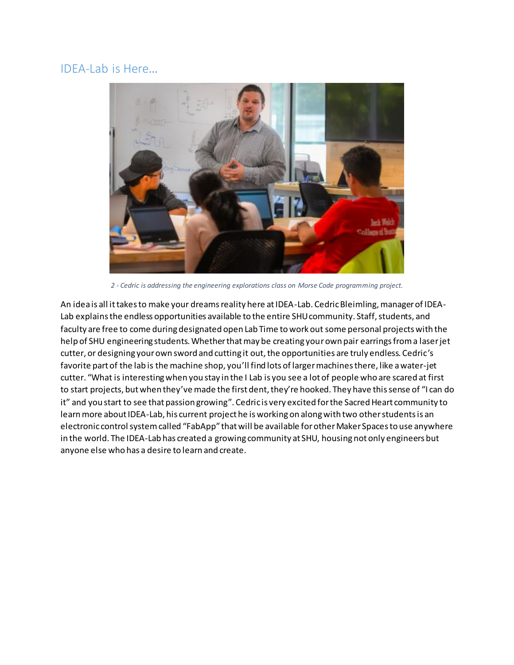#### IDEA-Lab is Here…



*2 - Cedric is addressing the engineering explorations class on Morse Code programming project.*

An idea is all it takes to make your dreams reality here at IDEA-Lab. Cedric Bleimling, manager of IDEA-Lab explains the endless opportunities available to the entire SHU community. Staff, students, and faculty are free to come during designated open Lab Time to work out some personal projects with the help of SHU engineering students. Whether that may be creating your own pair earrings from a laser jet cutter, or designing your own sword and cutting it out, the opportunities are truly endless. Cedric's favorite part of the lab is the machine shop, you'll find lots of larger machines there, like a water-jet cutter. "What is interesting when you stay in the I Lab is you see a lot of people who are scared at first to start projects, but when they've made the first dent, they're hooked. They have this sense of "I can do it" and you start to see that passion growing". Cedric is very excited for the Sacred Heart community to learn more about IDEA-Lab, his current project he is working on along with two other students is an electronic control system called "FabApp" that will be available for other Maker Spaces to use anywhere in the world. The IDEA-Lab has created a growing community at SHU, housing not only engineers but anyone else who has a desire to learn and create.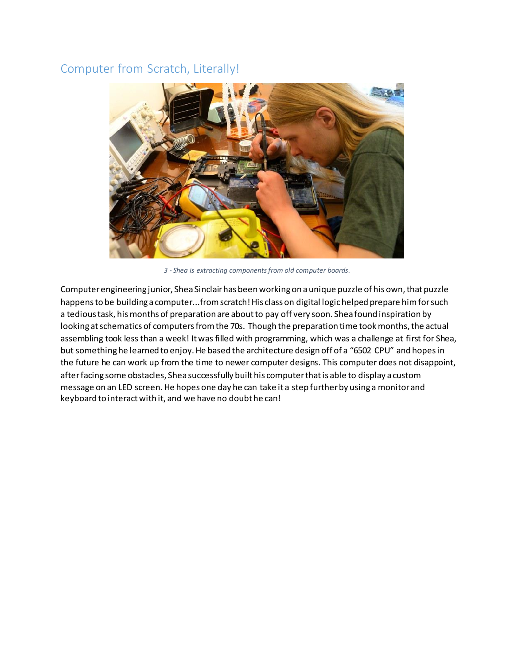### Computer from Scratch, Literally!



*3 - Shea is extracting components from old computer boards.*

Computer engineering junior, Shea Sinclair has been working on a unique puzzle of his own, that puzzle happens to be building a computer...from scratch! His class on digital logic helped prepare him for such a tedious task, his months of preparation are about to pay off very soon. Shea found inspiration by looking at schematics of computers from the 70s. Though the preparation time took months, the actual assembling took less than a week! It was filled with programming, which was a challenge at first for Shea, but something he learned to enjoy. He based the architecture design off of a "6502 CPU" and hopes in the future he can work up from the time to newer computer designs. This computer does not disappoint, after facing some obstacles, Shea successfully built his computer that is able to display a custom message on an LED screen. He hopes one day he can take it a step further by using a monitor and keyboard to interact with it, and we have no doubt he can!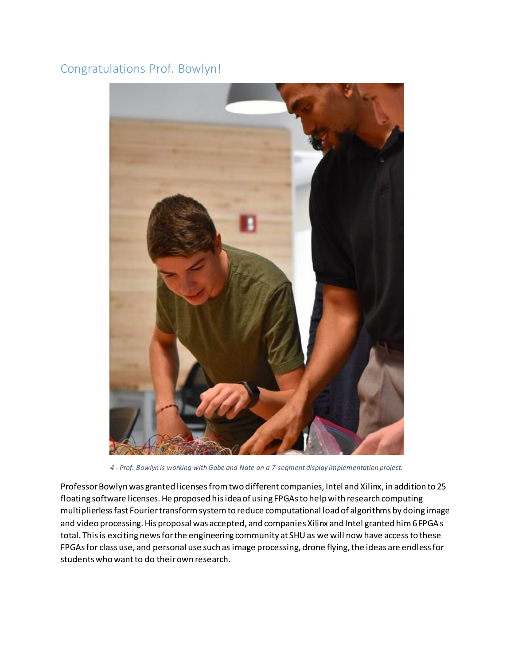## Congratulations Prof. Bowlyn!



*4 - Prof. Bowlyn is working with Gabe and Nate on a 7-segment display implementation project.*

Professor Bowlyn was granted licenses from two different companies, Intel and Xilinx, in addition to 25 floating software licenses. He proposed his idea of using FPGAs to help with research computing multiplierless fast Fourier transform system to reduce computational load of algorithms by doing image and video processing. His proposal was accepted, and companies Xilinx and Intel granted him 6 FPGAs total. This is exciting news for the engineering community at SHU as we will now have access to these FPGAs for class use, and personal use such as image processing, drone flying, the ideas are endless for students who want to do their own research.